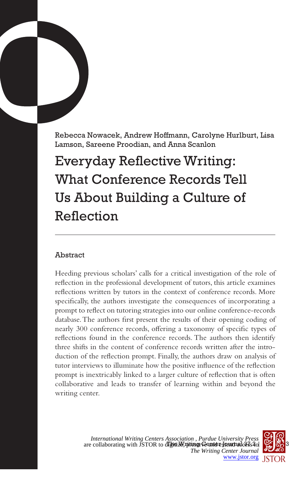Rebecca Nowacek, Andrew Hoffmann, Carolyne Hurlburt, Lisa Lamson, Sareene Proodian, and Anna Scanlon

# Everyday Reflective Writing: What Conference Records Tell Us About Building a Culture of Reflection

# Abstract

Heeding previous scholars' calls for a critical investigation of the role of reflection in the professional development of tutors, this article examines reflections written by tutors in the context of conference records. More specifically, the authors investigate the consequences of incorporating a prompt to reflect on tutoring strategies into our online conference-records database. The authors first present the results of their opening coding of nearly 300 conference records, offering a taxonomy of specific types of reflections found in the conference records. The authors then identify three shifts in the content of conference records written after the introduction of the reflection prompt. Finally, the authors draw on analysis of tutor interviews to illuminate how the positive influence of the reflection prompt is inextricably linked to a larger culture of reflection that is often collaborative and leads to transfer of learning within and beyond the writing center.

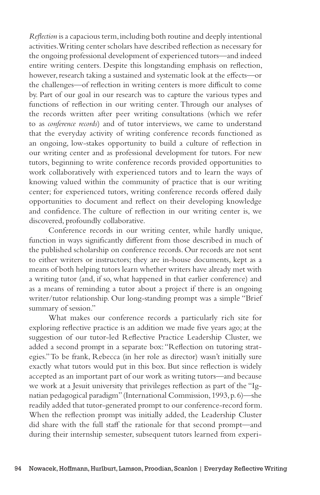*Reflection* is a capacious term, including both routine and deeply intentional activities. Writing center scholars have described reflection as necessary for the ongoing professional development of experienced tutors—and indeed entire writing centers. Despite this longstanding emphasis on reflection, however, research taking a sustained and systematic look at the effects—or the challenges—of reflection in writing centers is more difficult to come by. Part of our goal in our research was to capture the various types and functions of reflection in our writing center. Through our analyses of the records written after peer writing consultations (which we refer to as *conference records*) and of tutor interviews, we came to understand that the everyday activity of writing conference records functioned as an ongoing, low-stakes opportunity to build a culture of reflection in our writing center and as professional development for tutors. For new tutors, beginning to write conference records provided opportunities to work collaboratively with experienced tutors and to learn the ways of knowing valued within the community of practice that is our writing center; for experienced tutors, writing conference records offered daily opportunities to document and reflect on their developing knowledge and confidence. The culture of reflection in our writing center is, we discovered, profoundly collaborative.

Conference records in our writing center, while hardly unique, function in ways significantly different from those described in much of the published scholarship on conference records. Our records are not sent to either writers or instructors; they are in-house documents, kept as a means of both helping tutors learn whether writers have already met with a writing tutor (and, if so, what happened in that earlier conference) and as a means of reminding a tutor about a project if there is an ongoing writer/tutor relationship. Our long-standing prompt was a simple "Brief summary of session."

What makes our conference records a particularly rich site for exploring reflective practice is an addition we made five years ago; at the suggestion of our tutor-led Reflective Practice Leadership Cluster, we added a second prompt in a separate box: "Reflection on tutoring strategies." To be frank, Rebecca (in her role as director) wasn't initially sure exactly what tutors would put in this box. But since reflection is widely accepted as an important part of our work as writing tutors—and because we work at a Jesuit university that privileges reflection as part of the "Ignatian pedagogical paradigm" (International Commission, 1993, p. 6)—she readily added that tutor-generated prompt to our conference-record form. When the reflection prompt was initially added, the Leadership Cluster did share with the full staff the rationale for that second prompt—and during their internship semester, subsequent tutors learned from experi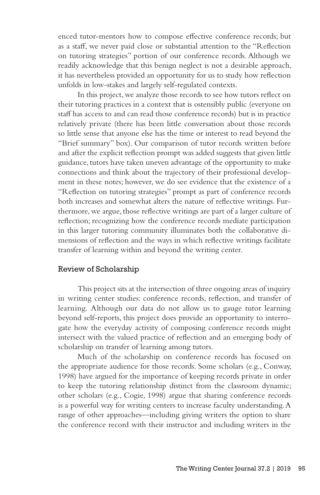enced tutor-mentors how to compose effective conference records; but as a staff, we never paid close or substantial attention to the "Reflection on tutoring strategies" portion of our conference records. Although we readily acknowledge that this benign neglect is not a desirable approach, it has nevertheless provided an opportunity for us to study how reflection unfolds in low-stakes and largely self-regulated contexts.

In this project, we analyze those records to see how tutors reflect on their tutoring practices in a context that is ostensibly public (everyone on staff has access to and can read those conference records) but is in practice relatively private (there has been little conversation about those records so little sense that anyone else has the time or interest to read beyond the "Brief summary" box). Our comparison of tutor records written before and after the explicit reflection prompt was added suggests that given little guidance, tutors have taken uneven advantage of the opportunity to make connections and think about the trajectory of their professional development in these notes; however, we do see evidence that the existence of a "Reflection on tutoring strategies" prompt as part of conference records both increases and somewhat alters the nature of reflective writings. Furthermore, we argue, those reflective writings are part of a larger culture of reflection; recognizing how the conference records mediate participation in this larger tutoring community illuminates both the collaborative dimensions of reflection and the ways in which reflective writings facilitate transfer of learning within and beyond the writing center.

#### Review of Scholarship

This project sits at the intersection of three ongoing areas of inquiry in writing center studies: conference records, reflection, and transfer of learning. Although our data do not allow us to gauge tutor learning beyond self-reports, this project does provide an opportunity to interrogate how the everyday activity of composing conference records might intersect with the valued practice of reflection and an emerging body of scholarship on transfer of learning among tutors.

Much of the scholarship on conference records has focused on the appropriate audience for those records. Some scholars (e.g., Conway, 1998) have argued for the importance of keeping records private in order to keep the tutoring relationship distinct from the classroom dynamic; other scholars (e.g., Cogie, 1998) argue that sharing conference records is a powerful way for writing centers to increase faculty understanding. A range of other approaches—including giving writers the option to share the conference record with their instructor and including writers in the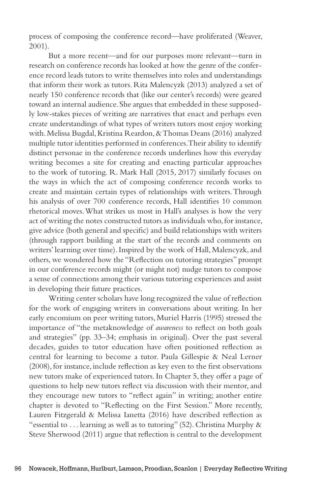process of composing the conference record—have proliferated (Weaver, 2001).

But a more recent—and for our purposes more relevant—turn in research on conference records has looked at how the genre of the conference record leads tutors to write themselves into roles and understandings that inform their work as tutors. Rita Malencyzk (2013) analyzed a set of nearly 150 conference records that (like our center's records) were geared toward an internal audience. She argues that embedded in these supposedly low-stakes pieces of writing are narratives that enact and perhaps even create understandings of what types of writers tutors most enjoy working with. Melissa Bugdal, Kristina Reardon, & Thomas Deans (2016) analyzed multiple tutor identities performed in conferences. Their ability to identify distinct personae in the conference records underlines how this everyday writing becomes a site for creating and enacting particular approaches to the work of tutoring. R. Mark Hall (2015, 2017) similarly focuses on the ways in which the act of composing conference records works to create and maintain certain types of relationships with writers. Through his analysis of over 700 conference records, Hall identifies 10 common rhetorical moves. What strikes us most in Hall's analyses is how the very act of writing the notes constructed tutors as individuals who, for instance, give advice (both general and specific) and build relationships with writers (through rapport building at the start of the records and comments on writers' learning over time). Inspired by the work of Hall, Malencyzk, and others, we wondered how the "Reflection on tutoring strategies" prompt in our conference records might (or might not) nudge tutors to compose a sense of connections among their various tutoring experiences and assist in developing their future practices.

Writing center scholars have long recognized the value of reflection for the work of engaging writers in conversations about writing. In her early encomium on peer writing tutors, Muriel Harris (1995) stressed the importance of "the metaknowledge of *awareness* to reflect on both goals and strategies" (pp. 33–34; emphasis in original). Over the past several decades, guides to tutor education have often positioned reflection as central for learning to become a tutor. Paula Gillespie & Neal Lerner (2008), for instance, include reflection as key even to the first observations new tutors make of experienced tutors. In Chapter 5, they offer a page of questions to help new tutors reflect via discussion with their mentor, and they encourage new tutors to "reflect again" in writing; another entire chapter is devoted to "Reflecting on the First Session." More recently, Lauren Fitzgerald & Melissa Ianetta (2016) have described reflection as "essential to ... learning as well as to tutoring" (52). Christina Murphy  $\&$ Steve Sherwood (2011) argue that reflection is central to the development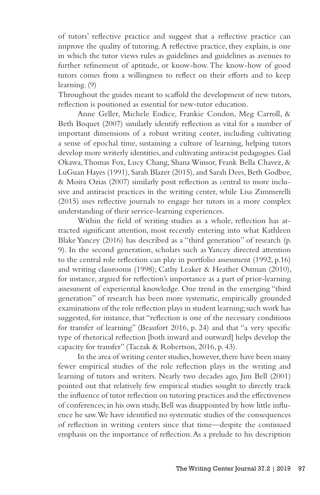of tutors' reflective practice and suggest that a reflective practice can improve the quality of tutoring. A reflective practice, they explain, is one in which the tutor views rules as guidelines and guidelines as avenues to further refinement of aptitude, or know-how. The know-how of good tutors comes from a willingness to reflect on their efforts and to keep learning. (9)

Throughout the guides meant to scaffold the development of new tutors, reflection is positioned as essential for new-tutor education.

Anne Geller, Michele Eodice, Frankie Condon, Meg Carroll, & Beth Boquet (2007) similarly identify reflection as vital for a number of important dimensions of a robust writing center, including cultivating a sense of epochal time, sustaining a culture of learning, helping tutors develop more writerly identities, and cultivating antiracist pedagogies. Gail Okawa, Thomas Fox, Lucy Chang, Shana Winsor, Frank Bella Chavez, & LuGuan Hayes (1991), Sarah Blazer (2015), and Sarah Dees, Beth Godbee, & Moira Ozias (2007) similarly posit reflection as central to more inclusive and antiracist practices in the writing center, while Lisa Zimmerelli (2015) uses reflective journals to engage her tutors in a more complex understanding of their service-learning experiences.

Within the field of writing studies as a whole, reflection has attracted significant attention, most recently entering into what Kathleen Blake Yancey (2016) has described as a "third generation" of research (p. 9). In the second generation, scholars such as Yancey directed attention to the central role reflection can play in portfolio assessment (1992, p.16) and writing classrooms (1998); Cathy Leaker & Heather Ostman (2010), for instance, argued for reflection's importance as a part of prior-learning assessment of experiential knowledge. One trend in the emerging "third generation" of research has been more systematic, empirically grounded examinations of the role reflection plays in student learning; such work has suggested, for instance, that "reflection is one of the necessary conditions for transfer of learning" (Beaufort 2016, p. 24) and that "a very specific type of rhetorical reflection [both inward and outward] helps develop the capacity for transfer" (Taczak & Robertson, 2016, p. 43).

In the area of writing center studies, however, there have been many fewer empirical studies of the role reflection plays in the writing and learning of tutors and writers. Nearly two decades ago, Jim Bell (2001) pointed out that relatively few empirical studies sought to directly track the influence of tutor reflection on tutoring practices and the effectiveness of conferences; in his own study, Bell was disappointed by how little influence he saw. We have identified no systematic studies of the consequences of reflection in writing centers since that time—despite the continued emphasis on the importance of reflection. As a prelude to his description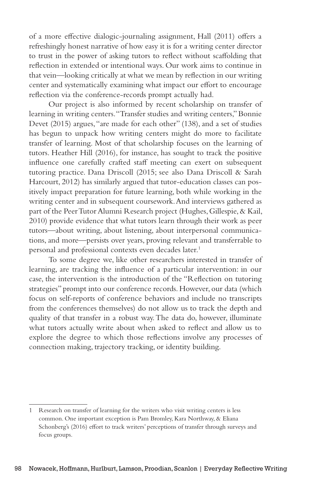of a more effective dialogic-journaling assignment, Hall (2011) offers a refreshingly honest narrative of how easy it is for a writing center director to trust in the power of asking tutors to reflect without scaffolding that reflection in extended or intentional ways. Our work aims to continue in that vein—looking critically at what we mean by reflection in our writing center and systematically examining what impact our effort to encourage reflection via the conference-records prompt actually had.

Our project is also informed by recent scholarship on transfer of learning in writing centers. "Transfer studies and writing centers," Bonnie Devet (2015) argues, "are made for each other" (138), and a set of studies has begun to unpack how writing centers might do more to facilitate transfer of learning. Most of that scholarship focuses on the learning of tutors. Heather Hill (2016), for instance, has sought to track the positive influence one carefully crafted staff meeting can exert on subsequent tutoring practice. Dana Driscoll (2015; see also Dana Driscoll & Sarah Harcourt, 2012) has similarly argued that tutor-education classes can positively impact preparation for future learning, both while working in the writing center and in subsequent coursework. And interviews gathered as part of the Peer Tutor Alumni Research project (Hughes, Gillespie, & Kail, 2010) provide evidence that what tutors learn through their work as peer tutors—about writing, about listening, about interpersonal communications, and more—persists over years, proving relevant and transferrable to personal and professional contexts even decades later.<sup>1</sup>

To some degree we, like other researchers interested in transfer of learning, are tracking the influence of a particular intervention: in our case, the intervention is the introduction of the "Reflection on tutoring strategies" prompt into our conference records. However, our data (which focus on self-reports of conference behaviors and include no transcripts from the conferences themselves) do not allow us to track the depth and quality of that transfer in a robust way. The data do, however, illuminate what tutors actually write about when asked to reflect and allow us to explore the degree to which those reflections involve any processes of connection making, trajectory tracking, or identity building.

<sup>1</sup> Research on transfer of learning for the writers who visit writing centers is less common. One important exception is Pam Bromley, Kara Northway, & Eliana Schonberg's (2016) effort to track writers' perceptions of transfer through surveys and focus groups.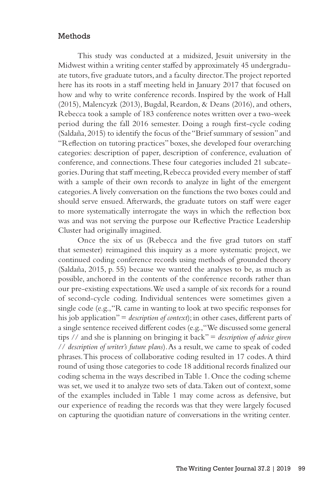#### Methods

This study was conducted at a midsized, Jesuit university in the Midwest within a writing center staffed by approximately 45 undergraduate tutors, five graduate tutors, and a faculty director. The project reported here has its roots in a staff meeting held in January 2017 that focused on how and why to write conference records. Inspired by the work of Hall (2015), Malencyzk (2013), Bugdal, Reardon, & Deans (2016), and others, Rebecca took a sample of 183 conference notes written over a two-week period during the fall 2016 semester. Doing a rough first-cycle coding (Saldaña, 2015) to identify the focus of the "Brief summary of session" and "Reflection on tutoring practices" boxes, she developed four overarching categories: description of paper, description of conference, evaluation of conference, and connections. These four categories included 21 subcategories. During that staff meeting, Rebecca provided every member of staff with a sample of their own records to analyze in light of the emergent categories. A lively conversation on the functions the two boxes could and should serve ensued. Afterwards, the graduate tutors on staff were eager to more systematically interrogate the ways in which the reflection box was and was not serving the purpose our Reflective Practice Leadership Cluster had originally imagined.

Once the six of us (Rebecca and the five grad tutors on staff that semester) reimagined this inquiry as a more systematic project, we continued coding conference records using methods of grounded theory (Saldaña, 2015, p. 55) because we wanted the analyses to be, as much as possible, anchored in the contents of the conference records rather than our pre-existing expectations. We used a sample of six records for a round of second-cycle coding. Individual sentences were sometimes given a single code (e.g., "R came in wanting to look at two specific responses for his job application" = *description of context*); in other cases, different parts of a single sentence received different codes (e.g., "We discussed some general tips // and she is planning on bringing it back" = *description of advice given* // *description of writer's future plans*). As a result, we came to speak of coded phrases. This process of collaborative coding resulted in 17 codes. A third round of using those categories to code 18 additional records finalized our coding schema in the ways described in Table 1. Once the coding scheme was set, we used it to analyze two sets of data. Taken out of context, some of the examples included in Table 1 may come across as defensive, but our experience of reading the records was that they were largely focused on capturing the quotidian nature of conversations in the writing center.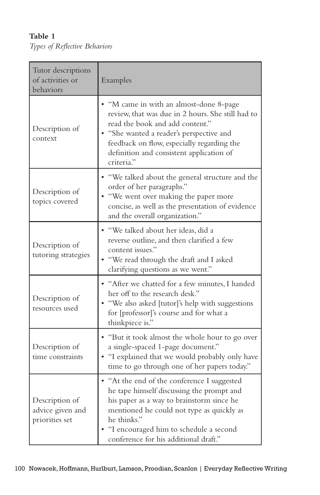**Table 1** *Types of Reflective Behaviors*

| Tutor descriptions<br>of activities or<br>behaviors  | Examples                                                                                                                                                                                                                                                                             |  |  |
|------------------------------------------------------|--------------------------------------------------------------------------------------------------------------------------------------------------------------------------------------------------------------------------------------------------------------------------------------|--|--|
| Description of<br>context                            | • "M came in with an almost-done 8-page<br>review, that was due in 2 hours. She still had to<br>read the book and add content."<br>• "She wanted a reader's perspective and<br>feedback on flow, especially regarding the<br>definition and consistent application of<br>criteria."  |  |  |
| Description of<br>topics covered                     | • "We talked about the general structure and the<br>order of her paragraphs."<br>• "We went over making the paper more<br>concise, as well as the presentation of evidence<br>and the overall organization."                                                                         |  |  |
| Description of<br>tutoring strategies                | · "We talked about her ideas, did a<br>reverse outline, and then clarified a few<br>content issues."<br>• "We read through the draft and I asked<br>clarifying questions as we went."                                                                                                |  |  |
| Description of<br>resources used                     | • "After we chatted for a few minutes, I handed<br>her off to the research desk."<br>• "We also asked [tutor]'s help with suggestions<br>for [professor]'s course and for what a<br>thinkpiece is."                                                                                  |  |  |
| Description of<br>time constraints                   | • "But it took almost the whole hour to go over<br>a single-spaced 1-page document."<br>• "I explained that we would probably only have<br>time to go through one of her papers today."                                                                                              |  |  |
| Description of<br>advice given and<br>priorities set | • "At the end of the conference I suggested<br>he tape himself discussing the prompt and<br>his paper as a way to brainstorm since he<br>mentioned he could not type as quickly as<br>he thinks."<br>"I encouraged him to schedule a second<br>conference for his additional draft." |  |  |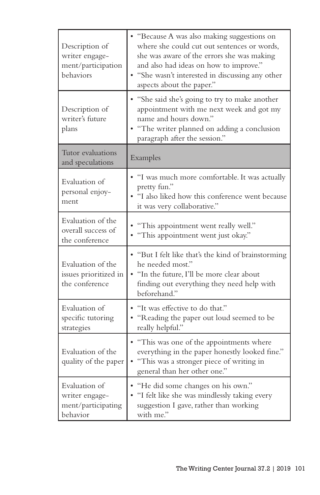| Description of<br>writer engage-<br>ment/participation<br>behaviors | • "Because A was also making suggestions on<br>where she could cut out sentences or words,<br>she was aware of the errors she was making<br>and also had ideas on how to improve."<br>• "She wasn't interested in discussing any other<br>aspects about the paper." |  |  |
|---------------------------------------------------------------------|---------------------------------------------------------------------------------------------------------------------------------------------------------------------------------------------------------------------------------------------------------------------|--|--|
| Description of<br>writer's future<br>plans                          | • "She said she's going to try to make another<br>appointment with me next week and got my<br>name and hours down."<br>• "The writer planned on adding a conclusion<br>paragraph after the session."                                                                |  |  |
| Tutor evaluations<br>and speculations                               | Examples                                                                                                                                                                                                                                                            |  |  |
| Evaluation of<br>personal enjoy-<br>ment                            | . "I was much more comfortable. It was actually<br>pretty fun."<br>• "I also liked how this conference went because<br>it was very collaborative."                                                                                                                  |  |  |
| Evaluation of the<br>overall success of<br>the conference           | "This appointment went really well."<br>· "This appointment went just okay."                                                                                                                                                                                        |  |  |
| Evaluation of the<br>issues prioritized in<br>the conference        | • "But I felt like that's the kind of brainstorming<br>he needed most."<br>· "In the future, I'll be more clear about<br>finding out everything they need help with<br>beforehand."                                                                                 |  |  |
| Evaluation of<br>specific tutoring<br>strategies                    | • "It was effective to do that."<br>• "Reading the paper out loud seemed to be<br>really helpful."                                                                                                                                                                  |  |  |
| Evaluation of the<br>quality of the paper                           | • "This was one of the appointments where<br>everything in the paper honestly looked fine."<br>• "This was a stronger piece of writing in<br>general than her other one."                                                                                           |  |  |
| Evaluation of<br>writer engage-<br>ment/participating<br>behavior   | • "He did some changes on his own."<br>• "I felt like she was mindlessly taking every<br>suggestion I gave, rather than working<br>with me."                                                                                                                        |  |  |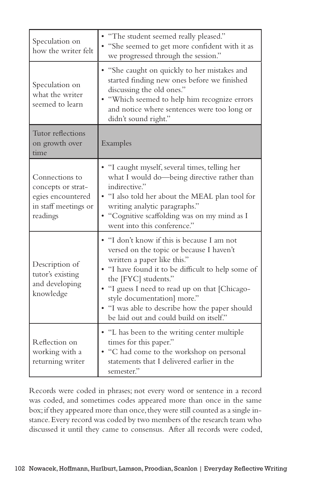| Speculation on<br>how the writer felt                                                         | • "The student seemed really pleased."<br>• "She seemed to get more confident with it as<br>we progressed through the session."                                                                                                                                                                                                                                                    |  |  |
|-----------------------------------------------------------------------------------------------|------------------------------------------------------------------------------------------------------------------------------------------------------------------------------------------------------------------------------------------------------------------------------------------------------------------------------------------------------------------------------------|--|--|
| Speculation on<br>what the writer<br>seemed to learn                                          | • "She caught on quickly to her mistakes and<br>started finding new ones before we finished<br>discussing the old ones."<br>• "Which seemed to help him recognize errors<br>and notice where sentences were too long or<br>didn't sound right."                                                                                                                                    |  |  |
| Tutor reflections<br>on growth over<br>time                                                   | Examples                                                                                                                                                                                                                                                                                                                                                                           |  |  |
| Connections to<br>concepts or strat-<br>egies encountered<br>in staff meetings or<br>readings | • "I caught myself, several times, telling her<br>what I would do-being directive rather than<br>indirective."<br>. "I also told her about the MEAL plan tool for<br>writing analytic paragraphs."<br>• "Cognitive scaffolding was on my mind as I<br>went into this conference."                                                                                                  |  |  |
| Description of<br>tutor's existing<br>and developing<br>knowledge                             | • "I don't know if this is because I am not<br>versed on the topic or because I haven't<br>written a paper like this."<br>• "I have found it to be difficult to help some of<br>the [FYC] students."<br>• "I guess I need to read up on that [Chicago-<br>style documentation] more."<br>• "I was able to describe how the paper should<br>be laid out and could build on itself." |  |  |
| Reflection on<br>working with a<br>returning writer                                           | • "L has been to the writing center multiple<br>times for this paper."<br>• "C had come to the workshop on personal<br>statements that I delivered earlier in the<br>semester."                                                                                                                                                                                                    |  |  |

Records were coded in phrases; not every word or sentence in a record was coded, and sometimes codes appeared more than once in the same box; if they appeared more than once, they were still counted as a single instance. Every record was coded by two members of the research team who discussed it until they came to consensus. After all records were coded,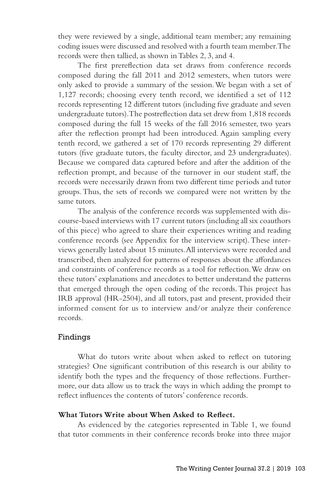they were reviewed by a single, additional team member; any remaining coding issues were discussed and resolved with a fourth team member. The records were then tallied, as shown in Tables 2, 3, and 4.

The first prereflection data set draws from conference records composed during the fall 2011 and 2012 semesters, when tutors were only asked to provide a summary of the session. We began with a set of 1,127 records; choosing every tenth record, we identified a set of 112 records representing 12 different tutors (including five graduate and seven undergraduate tutors). The postreflection data set drew from 1,818 records composed during the full 15 weeks of the fall 2016 semester, two years after the reflection prompt had been introduced. Again sampling every tenth record, we gathered a set of 170 records representing 29 different tutors (five graduate tutors, the faculty director, and 23 undergraduates). Because we compared data captured before and after the addition of the reflection prompt, and because of the turnover in our student staff, the records were necessarily drawn from two different time periods and tutor groups. Thus, the sets of records we compared were not written by the same tutors.

The analysis of the conference records was supplemented with discourse-based interviews with 17 current tutors (including all six coauthors of this piece) who agreed to share their experiences writing and reading conference records (see Appendix for the interview script). These interviews generally lasted about 15 minutes. All interviews were recorded and transcribed, then analyzed for patterns of responses about the affordances and constraints of conference records as a tool for reflection. We draw on these tutors' explanations and anecdotes to better understand the patterns that emerged through the open coding of the records. This project has IRB approval (HR-2504), and all tutors, past and present, provided their informed consent for us to interview and/or analyze their conference records.

#### Findings

What do tutors write about when asked to reflect on tutoring strategies? One significant contribution of this research is our ability to identify both the types and the frequency of those reflections. Furthermore, our data allow us to track the ways in which adding the prompt to reflect influences the contents of tutors' conference records.

#### **What Tutors Write about When Asked to Reflect.**

As evidenced by the categories represented in Table 1, we found that tutor comments in their conference records broke into three major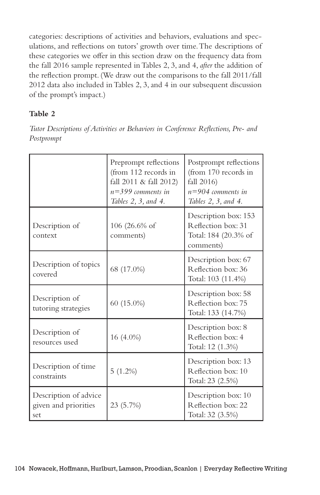categories: descriptions of activities and behaviors, evaluations and speculations, and reflections on tutors' growth over time. The descriptions of these categories we offer in this section draw on the frequency data from the fall 2016 sample represented in Tables 2, 3, and 4, *after* the addition of the reflection prompt. (We draw out the comparisons to the fall 2011/fall 2012 data also included in Tables 2, 3, and 4 in our subsequent discussion of the prompt's impact.)

# **Table 2**

*Tutor Descriptions of Activities or Behaviors in Conference Reflections, Pre- and Postprompt*

|                                                      | Preprompt reflections<br>(from 112 records in<br>fall 2011 & fall 2012)<br>$n=399$ comments in<br>Tables 2, 3, and 4. | Postprompt reflections<br>(from 170 records in<br>fall 2016)<br>$n=904$ comments in<br>Tables 2, 3, and 4. |
|------------------------------------------------------|-----------------------------------------------------------------------------------------------------------------------|------------------------------------------------------------------------------------------------------------|
| Description of<br>context                            | $106(26.6\% \text{ of }$<br>comments)                                                                                 | Description box: 153<br>Reflection box: 31<br>Total: 184 (20.3% of<br>comments)                            |
| Description of topics<br>covered                     | 68 (17.0%)                                                                                                            | Description box: 67<br>Reflection box: 36<br>Total: 103 (11.4%)                                            |
| Description of<br>tutoring strategies                | 60 (15.0%)                                                                                                            | Description box: 58<br>Reflection box: 75<br>Total: 133 (14.7%)                                            |
| Description of<br>resources used                     | 16 (4.0%)                                                                                                             | Description box: 8<br>Reflection box: 4<br>Total: 12 (1.3%)                                                |
| Description of time<br>constraints                   | $5(1.2\%)$                                                                                                            | Description box: 13<br>Reflection box: 10<br>Total: 23 (2.5%)                                              |
| Description of advice<br>given and priorities<br>set | 23 (5.7%)                                                                                                             | Description box: 10<br>Reflection box: 22<br>Total: 32 (3.5%)                                              |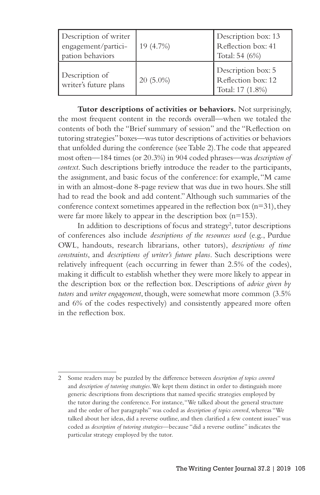| Description of writer<br>engagement/partici-<br>pation behaviors | 19 (4.7%)   | Description box: 13<br>Reflection box: 41<br>Total: 54 (6%)  |
|------------------------------------------------------------------|-------------|--------------------------------------------------------------|
| Description of<br>writer's future plans                          | $20(5.0\%)$ | Description box: 5<br>Reflection box: 12<br>Total: 17 (1.8%) |

**Tutor descriptions of activities or behaviors***.* Not surprisingly, the most frequent content in the records overall—when we totaled the contents of both the "Brief summary of session" and the "Reflection on tutoring strategies" boxes—was tutor descriptions of activities or behaviors that unfolded during the conference (see Table 2). The code that appeared most often—184 times (or 20.3%) in 904 coded phrases—was *description of context*. Such descriptions briefly introduce the reader to the participants, the assignment, and basic focus of the conference: for example, "M came in with an almost-done 8-page review that was due in two hours. She still had to read the book and add content." Although such summaries of the conference context sometimes appeared in the reflection box  $(n=31)$ , they were far more likely to appear in the description box (n=153).

In addition to descriptions of focus and strategy<sup>2</sup>, tutor descriptions of conferences also include *descriptions of the resources used* (e.g., Purdue OWL, handouts, research librarians, other tutors), *descriptions of time constraints*, and *descriptions of writer's future plans*. Such descriptions were relatively infrequent (each occurring in fewer than 2.5% of the codes), making it difficult to establish whether they were more likely to appear in the description box or the reflection box. Descriptions of *advice given by tutors* and *writer engagement*, though, were somewhat more common (3.5% and 6% of the codes respectively) and consistently appeared more often in the reflection box.

<sup>2</sup> Some readers may be puzzled by the difference between *description of topics covered* and *description of tutoring strategies*. We kept them distinct in order to distinguish more generic descriptions from descriptions that named specific strategies employed by the tutor during the conference. For instance, "We talked about the general structure and the order of her paragraphs" was coded as *description of topics covered*, whereas "We talked about her ideas, did a reverse outline, and then clarified a few content issues" was coded as *description of tutoring strategies*—because "did a reverse outline" indicates the particular strategy employed by the tutor.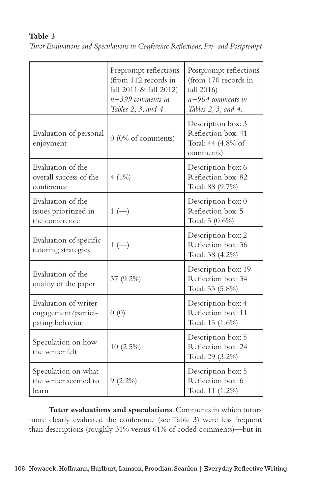## **Table 3**

| Tutor Evaluations and Speculations in Conference Reflections, Pre- and Postprompt |  |  |  |
|-----------------------------------------------------------------------------------|--|--|--|
|                                                                                   |  |  |  |

|                                                                | Preprompt reflections<br>(from 112 records in<br>fall 2011 & fall 2012)<br>$n=399$ comments in<br>Tables 2, 3, and 4. | Postprompt reflections<br>(from 170 records in<br>fall 2016)<br>$n = 904$ comments in<br>Tables 2, 3, and 4. |
|----------------------------------------------------------------|-----------------------------------------------------------------------------------------------------------------------|--------------------------------------------------------------------------------------------------------------|
| Evaluation of personal<br>enjoyment                            | $0$ (0% of comments)                                                                                                  | Description box: 3<br>Reflection box: 41<br>Total: 44 (4.8% of<br>comments)                                  |
| Evaluation of the<br>overall success of the<br>conference      | 4(1%)                                                                                                                 | Description box: 6<br>Reflection box: 82<br>Total: 88 (9.7%)                                                 |
| Evaluation of the<br>issues prioritized in<br>the conference   | $1 (-)$                                                                                                               | Description box: 0<br>Reflection box: 5<br>Total: 5 (0.6%)                                                   |
| Evaluation of specific<br>tutoring strategies                  | $1$ $(-)$                                                                                                             | Description box: 2<br>Reflection box: 36<br>Total: 38 (4.2%)                                                 |
| Evaluation of the<br>quality of the paper                      | 37 (9.2%)                                                                                                             | Description box: 19<br>Reflection box: 34<br>Total: 53 (5.8%)                                                |
| Evaluation of writer<br>engagement/partici-<br>pating behavior | 0(0)                                                                                                                  | Description box: 4<br>Reflection box: 11<br>Total: 15 (1.6%)                                                 |
| Speculation on how<br>the writer felt                          | $10(2.5\%)$                                                                                                           | Description box: 5<br>Reflection box: 24<br>Total: 29 (3.2%)                                                 |
| Speculation on what<br>the writer seemed to<br>learn           | $9(2.2\%)$                                                                                                            | Description box: 5<br>Reflection box: 6<br>Total: 11 (1.2%)                                                  |

**Tutor evaluations and speculations**. Comments in which tutors more clearly evaluated the conference (see Table 3) were less frequent than descriptions (roughly 31% versus 61% of coded comments)—but in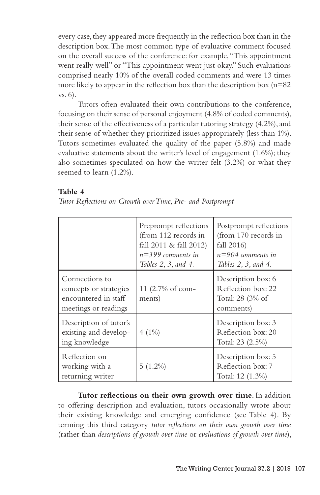every case, they appeared more frequently in the reflection box than in the description box. The most common type of evaluative comment focused on the overall success of the conference: for example, "This appointment went really well" or "This appointment went just okay." Such evaluations comprised nearly 10% of the overall coded comments and were 13 times more likely to appear in the reflection box than the description box  $(n=82)$ vs. 6).

Tutors often evaluated their own contributions to the conference, focusing on their sense of personal enjoyment (4.8% of coded comments), their sense of the effectiveness of a particular tutoring strategy (4.2%), and their sense of whether they prioritized issues appropriately (less than 1%). Tutors sometimes evaluated the quality of the paper (5.8%) and made evaluative statements about the writer's level of engagement (1.6%); they also sometimes speculated on how the writer felt (3.2%) or what they seemed to learn (1.2%).

#### **Table 4**

|  |  |  | Tutor Reflections on Growth over Time, Pre- and Postprompt |
|--|--|--|------------------------------------------------------------|
|  |  |  |                                                            |

|                                                                                          | Preprompt reflections<br>(from 112 records in<br>fall $2011 \&$ fall $2012$ )<br>$n=399$ comments in<br>Tables 2, 3, and 4. | Postprompt reflections<br>(from 170 records in<br>fall $2016$ )<br>$n=904$ comments in<br>Tables 2, 3, and 4. |
|------------------------------------------------------------------------------------------|-----------------------------------------------------------------------------------------------------------------------------|---------------------------------------------------------------------------------------------------------------|
| Connections to<br>concepts or strategies<br>encountered in staff<br>meetings or readings | 11 (2.7% of com-<br>ments)                                                                                                  | Description box: 6<br>Reflection box: 22<br>Total: 28 (3% of<br>comments)                                     |
| Description of tutor's<br>existing and develop-<br>ing knowledge                         | $4(1\%)$                                                                                                                    | Description box: 3<br>Reflection box: 20<br>Total: 23 (2.5%)                                                  |
| Reflection on<br>working with a<br>returning writer                                      | $5(1.2\%)$                                                                                                                  | Description box: 5<br>Reflection box: 7<br>Total: 12 (1.3%)                                                   |

**Tutor reflections on their own growth over time**. In addition to offering description and evaluation, tutors occasionally wrote about their existing knowledge and emerging confidence (see Table 4). By terming this third category *tutor reflections on their own growth over time* (rather than *descriptions of growth over time* or *evaluations of growth over time*),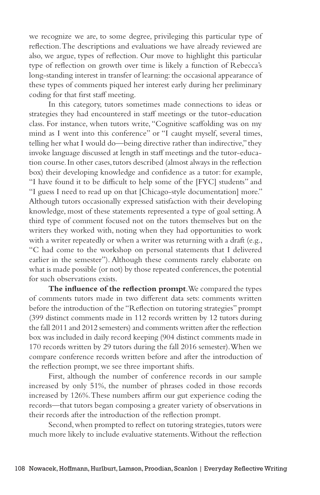we recognize we are, to some degree, privileging this particular type of reflection. The descriptions and evaluations we have already reviewed are also, we argue, types of reflection. Our move to highlight this particular type of reflection on growth over time is likely a function of Rebecca's long-standing interest in transfer of learning: the occasional appearance of these types of comments piqued her interest early during her preliminary coding for that first staff meeting.

In this category, tutors sometimes made connections to ideas or strategies they had encountered in staff meetings or the tutor-education class. For instance, when tutors write, "Cognitive scaffolding was on my mind as I went into this conference" or "I caught myself, several times, telling her what I would do—being directive rather than indirective," they invoke language discussed at length in staff meetings and the tutor-education course. In other cases, tutors described (almost always in the reflection box) their developing knowledge and confidence as a tutor: for example, "I have found it to be difficult to help some of the [FYC] students" and "I guess I need to read up on that [Chicago-style documentation] more." Although tutors occasionally expressed satisfaction with their developing knowledge, most of these statements represented a type of goal setting. A third type of comment focused not on the tutors themselves but on the writers they worked with, noting when they had opportunities to work with a writer repeatedly or when a writer was returning with a draft (e.g., "C had come to the workshop on personal statements that I delivered earlier in the semester"). Although these comments rarely elaborate on what is made possible (or not) by those repeated conferences, the potential for such observations exists.

**The influence of the reflection prompt**. We compared the types of comments tutors made in two different data sets: comments written before the introduction of the "Reflection on tutoring strategies" prompt (399 distinct comments made in 112 records written by 12 tutors during the fall 2011 and 2012 semesters) and comments written after the reflection box was included in daily record keeping (904 distinct comments made in 170 records written by 29 tutors during the fall 2016 semester). When we compare conference records written before and after the introduction of the reflection prompt, we see three important shifts.

First, although the number of conference records in our sample increased by only 51%, the number of phrases coded in those records increased by 126%. These numbers affirm our gut experience coding the records—that tutors began composing a greater variety of observations in their records after the introduction of the reflection prompt.

Second, when prompted to reflect on tutoring strategies, tutors were much more likely to include evaluative statements. Without the reflection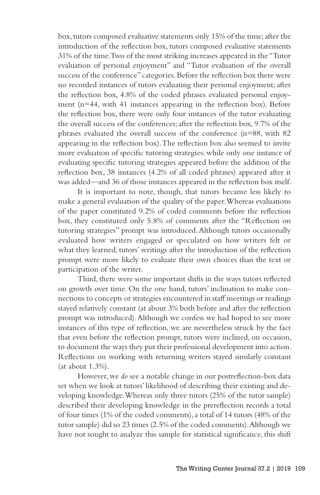box, tutors composed evaluative statements only 15% of the time; after the introduction of the reflection box, tutors composed evaluative statements 31% of the time. Two of the most striking increases appeared in the "Tutor evaluation of personal enjoyment" and "Tutor evaluation of the overall success of the conference" categories. Before the reflection box there were no recorded instances of tutors evaluating their personal enjoyment; after the reflection box, 4.8% of the coded phrases evaluated personal enjoyment (n=44, with 41 instances appearing in the reflection box). Before the reflection box, there were only four instances of the tutor evaluating the overall success of the conferences; after the reflection box, 9.7% of the phrases evaluated the overall success of the conference (n=88, with 82 appearing in the reflection box). The reflection box also seemed to invite more evaluation of specific tutoring strategies: while only one instance of evaluating specific tutoring strategies appeared before the addition of the reflection box, 38 instances (4.2% of all coded phrases) appeared after it was added—and 36 of those instances appeared in the reflection box itself.

It is important to note, though, that tutors became less likely to make a general evaluation of the quality of the paper. Whereas evaluations of the paper constituted 9.2% of coded comments before the reflection box, they constituted only 5.8% of comments after the "Reflection on tutoring strategies" prompt was introduced. Although tutors occasionally evaluated how writers engaged or speculated on how writers felt or what they learned, tutors' writings after the introduction of the reflection prompt were more likely to evaluate their own choices than the text or participation of the writer.

Third, there were some important shifts in the ways tutors reflected on growth over time. On the one hand, tutors' inclination to make connections to concepts or strategies encountered in staff meetings or readings stayed relatively constant (at about 3% both before and after the reflection prompt was introduced). Although we confess we had hoped to see more instances of this type of reflection, we are nevertheless struck by the fact that even before the reflection prompt, tutors were inclined, on occasion, to document the ways they put their professional development into action. Reflections on working with returning writers stayed similarly constant (at about 1.3%).

However, we *do* see a notable change in our postreflection-box data set when we look at tutors' likelihood of describing their existing and developing knowledge. Whereas only three tutors (25% of the tutor sample) described their developing knowledge in the prereflection records a total of four times (1% of the coded comments), a total of 14 tutors (48% of the tutor sample) did so 23 times (2.5% of the coded comments). Although we have not sought to analyze this sample for statistical significance, this shift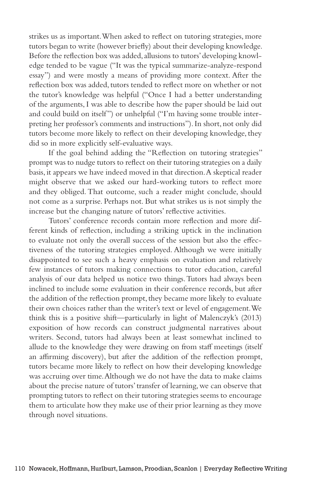strikes us as important. When asked to reflect on tutoring strategies, more tutors began to write (however briefly) about their developing knowledge. Before the reflection box was added, allusions to tutors' developing knowledge tended to be vague ("It was the typical summarize-analyze-respond essay") and were mostly a means of providing more context. After the reflection box was added, tutors tended to reflect more on whether or not the tutor's knowledge was helpful ("Once I had a better understanding of the arguments, I was able to describe how the paper should be laid out and could build on itself") or unhelpful ("I'm having some trouble interpreting her professor's comments and instructions"). In short, not only did tutors become more likely to reflect on their developing knowledge, they did so in more explicitly self-evaluative ways.

If the goal behind adding the "Reflection on tutoring strategies" prompt was to nudge tutors to reflect on their tutoring strategies on a daily basis, it appears we have indeed moved in that direction. A skeptical reader might observe that we asked our hard-working tutors to reflect more and they obliged. That outcome, such a reader might conclude, should not come as a surprise. Perhaps not. But what strikes us is not simply the increase but the changing nature of tutors' reflective activities.

Tutors' conference records contain more reflection and more different kinds of reflection, including a striking uptick in the inclination to evaluate not only the overall success of the session but also the effectiveness of the tutoring strategies employed. Although we were initially disappointed to see such a heavy emphasis on evaluation and relatively few instances of tutors making connections to tutor education, careful analysis of our data helped us notice two things. Tutors had always been inclined to include some evaluation in their conference records, but after the addition of the reflection prompt, they became more likely to evaluate their own choices rather than the writer's text or level of engagement. We think this is a positive shift—particularly in light of Malenczyk's (2013) exposition of how records can construct judgmental narratives about writers. Second, tutors had always been at least somewhat inclined to allude to the knowledge they were drawing on from staff meetings (itself an affirming discovery), but after the addition of the reflection prompt, tutors became more likely to reflect on how their developing knowledge was accruing over time. Although we do not have the data to make claims about the precise nature of tutors' transfer of learning, we can observe that prompting tutors to reflect on their tutoring strategies seems to encourage them to articulate how they make use of their prior learning as they move through novel situations.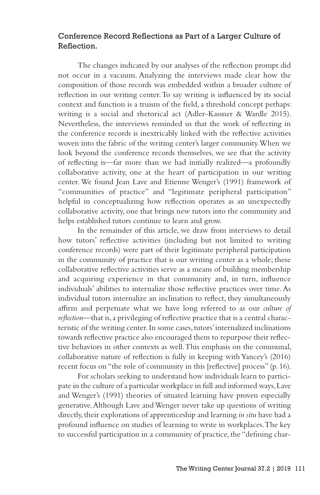## Conference Record Reflections as Part of a Larger Culture of Reflection.

The changes indicated by our analyses of the reflection prompt did not occur in a vacuum. Analyzing the interviews made clear how the composition of those records was embedded within a broader culture of reflection in our writing center. To say writing is influenced by its social context and function is a truism of the field, a threshold concept perhaps: writing is a social and rhetorical act (Adler-Kassner & Wardle 2015). Nevertheless, the interviews reminded us that the work of reflecting in the conference records is inextricably linked with the reflective activities woven into the fabric of the writing center's larger community. When we look beyond the conference records themselves, we see that the activity of reflecting is—far more than we had initially realized—a profoundly collaborative activity, one at the heart of participation in our writing center. We found Jean Lave and Etienne Wenger's (1991) framework of "communities of practice" and "legitimate peripheral participation" helpful in conceptualizing how reflection operates as an unexpectedly collaborative activity, one that brings new tutors into the community and helps established tutors continue to learn and grow.

In the remainder of this article, we draw from interviews to detail how tutors' reflective activities (including but not limited to writing conference records) were part of their legitimate peripheral participation in the community of practice that is our writing center as a whole; these collaborative reflective activities serve as a means of building membership and acquiring experience in that community and, in turn, influence individuals' abilities to internalize those reflective practices over time. As individual tutors internalize an inclination to reflect, they simultaneously affirm and perpetuate what we have long referred to as our *culture of reflection*—that is, a privileging of reflective practice that is a central characteristic of the writing center. In some cases, tutors' internalized inclinations towards reflective practice also encouraged them to repurpose their reflective behaviors in other contexts as well. This emphasis on the communal, collaborative nature of reflection is fully in keeping with Yancey's (2016) recent focus on "the role of community in this [reflective] process" (p. 16).

For scholars seeking to understand how individuals learn to participate in the culture of a particular workplace in full and informed ways, Lave and Wenger's (1991) theories of situated learning have proven especially generative. Although Lave and Wenger never take up questions of writing directly, their explorations of apprenticeship and learning *in situ* have had a profound influence on studies of learning to write in workplaces. The key to successful participation in a community of practice, the "defining char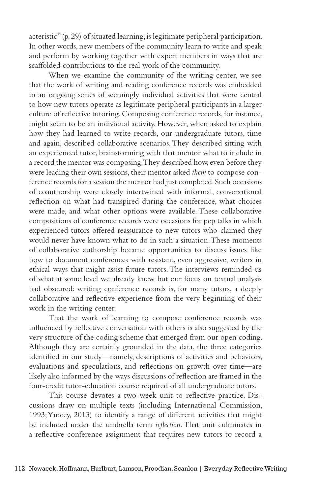acteristic" (p. 29) of situated learning, is legitimate peripheral participation. In other words, new members of the community learn to write and speak and perform by working together with expert members in ways that are scaffolded contributions to the real work of the community.

When we examine the community of the writing center, we see that the work of writing and reading conference records was embedded in an ongoing series of seemingly individual activities that were central to how new tutors operate as legitimate peripheral participants in a larger culture of reflective tutoring. Composing conference records, for instance, might seem to be an individual activity. However, when asked to explain how they had learned to write records, our undergraduate tutors, time and again, described collaborative scenarios. They described sitting with an experienced tutor, brainstorming with that mentor what to include in a record the mentor was composing. They described how, even before they were leading their own sessions, their mentor asked *them* to compose conference records for a session the mentor had just completed. Such occasions of coauthorship were closely intertwined with informal, conversational reflection on what had transpired during the conference, what choices were made, and what other options were available. These collaborative compositions of conference records were occasions for pep talks in which experienced tutors offered reassurance to new tutors who claimed they would never have known what to do in such a situation. These moments of collaborative authorship became opportunities to discuss issues like how to document conferences with resistant, even aggressive, writers in ethical ways that might assist future tutors. The interviews reminded us of what at some level we already knew but our focus on textual analysis had obscured: writing conference records is, for many tutors, a deeply collaborative and reflective experience from the very beginning of their work in the writing center.

That the work of learning to compose conference records was influenced by reflective conversation with others is also suggested by the very structure of the coding scheme that emerged from our open coding. Although they are certainly grounded in the data, the three categories identified in our study—namely, descriptions of activities and behaviors, evaluations and speculations, and reflections on growth over time—are likely also informed by the ways discussions of reflection are framed in the four-credit tutor-education course required of all undergraduate tutors.

This course devotes a two-week unit to reflective practice. Discussions draw on multiple texts (including International Commission, 1993; Yancey, 2013) to identify a range of different activities that might be included under the umbrella term *reflection*. That unit culminates in a reflective conference assignment that requires new tutors to record a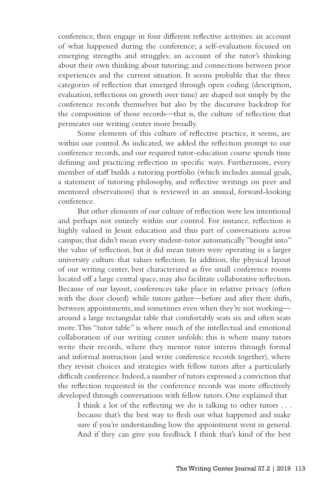conference, then engage in four different reflective activities: an account of what happened during the conference; a self-evaluation focused on emerging strengths and struggles; an account of the tutor's thinking about their own thinking about tutoring; and connections between prior experiences and the current situation. It seems probable that the three categories of reflection that emerged through open coding (description, evaluation, reflections on growth over time) are shaped not simply by the conference records themselves but also by the discursive backdrop for the composition of those records—that is, the culture of reflection that permeates our writing center more broadly.

Some elements of this culture of reflective practice, it seems, are within our control. As indicated, we added the reflection prompt to our conference records, and our required tutor-education course spends time defining and practicing reflection in specific ways. Furthermore, every member of staff builds a tutoring portfolio (which includes annual goals, a statement of tutoring philosophy, and reflective writings on peer and mentored observations) that is reviewed in an annual, forward-looking conference.

But other elements of our culture of reflection were less intentional and perhaps not entirely within our control. For instance, reflection is highly valued in Jesuit education and thus part of conversations across campus; that didn't mean every student-tutor automatically "bought into" the value of reflection, but it did mean tutors were operating in a larger university culture that values reflection. In addition, the physical layout of our writing center, best characterized as five small conference rooms located off a large central space, may also facilitate collaborative reflection. Because of our layout, conferences take place in relative privacy (often with the door closed) while tutors gather—before and after their shifts, between appointments, and sometimes even when they're not working around a large rectangular table that comfortably seats six and often seats more. This "tutor table" is where much of the intellectual and emotional collaboration of our writing center unfolds: this is where many tutors write their records, where they mentor tutor interns through formal and informal instruction (and write conference records together), where they revisit choices and strategies with fellow tutors after a particularly difficult conference. Indeed, a number of tutors expressed a conviction that the reflection requested in the conference records was more effectively developed through conversations with fellow tutors. One explained that

I think a lot of the reflecting we do is talking to other tutors . . . because that's the best way to flesh out what happened and make sure if you're understanding how the appointment went in general. And if they can give you feedback I think that's kind of the best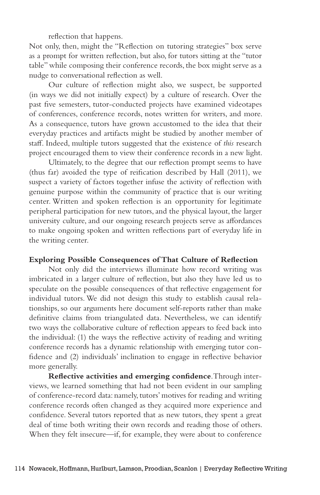reflection that happens.

Not only, then, might the "Reflection on tutoring strategies" box serve as a prompt for written reflection, but also, for tutors sitting at the "tutor table" while composing their conference records, the box might serve as a nudge to conversational reflection as well.

Our culture of reflection might also, we suspect, be supported (in ways we did not initially expect) by a culture of research. Over the past five semesters, tutor-conducted projects have examined videotapes of conferences, conference records, notes written for writers, and more. As a consequence, tutors have grown accustomed to the idea that their everyday practices and artifacts might be studied by another member of staff. Indeed, multiple tutors suggested that the existence of *this* research project encouraged them to view their conference records in a new light.

Ultimately, to the degree that our reflection prompt seems to have (thus far) avoided the type of reification described by Hall (2011), we suspect a variety of factors together infuse the activity of reflection with genuine purpose within the community of practice that is our writing center. Written and spoken reflection is an opportunity for legitimate peripheral participation for new tutors, and the physical layout, the larger university culture, and our ongoing research projects serve as affordances to make ongoing spoken and written reflections part of everyday life in the writing center.

#### **Exploring Possible Consequences of That Culture of Reflection**

Not only did the interviews illuminate how record writing was imbricated in a larger culture of reflection, but also they have led us to speculate on the possible consequences of that reflective engagement for individual tutors. We did not design this study to establish causal relationships, so our arguments here document self-reports rather than make definitive claims from triangulated data. Nevertheless, we can identify two ways the collaborative culture of reflection appears to feed back into the individual: (1) the ways the reflective activity of reading and writing conference records has a dynamic relationship with emerging tutor confidence and (2) individuals' inclination to engage in reflective behavior more generally.

**Reflective activities and emerging confidence**. Through interviews, we learned something that had not been evident in our sampling of conference-record data: namely, tutors' motives for reading and writing conference records often changed as they acquired more experience and confidence. Several tutors reported that as new tutors, they spent a great deal of time both writing their own records and reading those of others. When they felt insecure—if, for example, they were about to conference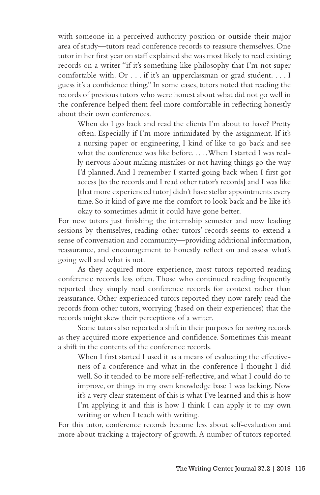with someone in a perceived authority position or outside their major area of study—tutors read conference records to reassure themselves. One tutor in her first year on staff explained she was most likely to read existing records on a writer "if it's something like philosophy that I'm not super comfortable with. Or . . . if it's an upperclassman or grad student. . . . I guess it's a confidence thing." In some cases, tutors noted that reading the records of previous tutors who were honest about what did not go well in the conference helped them feel more comfortable in reflecting honestly about their own conferences.

When do I go back and read the clients I'm about to have? Pretty often. Especially if I'm more intimidated by the assignment. If it's a nursing paper or engineering, I kind of like to go back and see what the conference was like before. . . . . When I started I was really nervous about making mistakes or not having things go the way I'd planned. And I remember I started going back when I first got access [to the records and I read other tutor's records] and I was like [that more experienced tutor] didn't have stellar appointments every time. So it kind of gave me the comfort to look back and be like it's okay to sometimes admit it could have gone better.

For new tutors just finishing the internship semester and now leading sessions by themselves, reading other tutors' records seems to extend a sense of conversation and community—providing additional information, reassurance, and encouragement to honestly reflect on and assess what's going well and what is not.

As they acquired more experience, most tutors reported reading conference records less often. Those who continued reading frequently reported they simply read conference records for context rather than reassurance. Other experienced tutors reported they now rarely read the records from other tutors, worrying (based on their experiences) that the records might skew their perceptions of a writer.

Some tutors also reported a shift in their purposes for *writing* records as they acquired more experience and confidence. Sometimes this meant a shift in the contents of the conference records.

When I first started I used it as a means of evaluating the effectiveness of a conference and what in the conference I thought I did well. So it tended to be more self-reflective, and what I could do to improve, or things in my own knowledge base I was lacking. Now it's a very clear statement of this is what I've learned and this is how I'm applying it and this is how I think I can apply it to my own writing or when I teach with writing.

For this tutor, conference records became less about self-evaluation and more about tracking a trajectory of growth. A number of tutors reported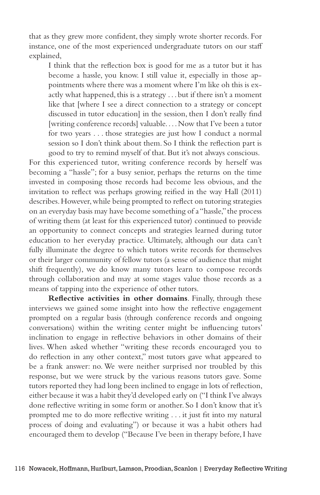that as they grew more confident, they simply wrote shorter records. For instance, one of the most experienced undergraduate tutors on our staff explained,

I think that the reflection box is good for me as a tutor but it has become a hassle, you know. I still value it, especially in those appointments where there was a moment where I'm like oh this is exactly what happened, this is a strategy . . . but if there isn't a moment like that [where I see a direct connection to a strategy or concept discussed in tutor education] in the session, then I don't really find [writing conference records] valuable. . . . Now that I've been a tutor for two years . . . those strategies are just how I conduct a normal session so I don't think about them. So I think the reflection part is good to try to remind myself of that. But it's not always conscious.

For this experienced tutor, writing conference records by herself was becoming a "hassle"; for a busy senior, perhaps the returns on the time invested in composing those records had become less obvious, and the invitation to reflect was perhaps growing reified in the way Hall (2011) describes. However, while being prompted to reflect on tutoring strategies on an everyday basis may have become something of a "hassle," the process of writing them (at least for this experienced tutor) continued to provide an opportunity to connect concepts and strategies learned during tutor education to her everyday practice. Ultimately, although our data can't fully illuminate the degree to which tutors write records for themselves or their larger community of fellow tutors (a sense of audience that might shift frequently), we do know many tutors learn to compose records through collaboration and may at some stages value those records as a means of tapping into the experience of other tutors.

**Reflective activities in other domains**. Finally, through these interviews we gained some insight into how the reflective engagement prompted on a regular basis (through conference records and ongoing conversations) within the writing center might be influencing tutors' inclination to engage in reflective behaviors in other domains of their lives. When asked whether "writing these records encouraged you to do reflection in any other context," most tutors gave what appeared to be a frank answer: no. We were neither surprised nor troubled by this response, but we were struck by the various reasons tutors gave. Some tutors reported they had long been inclined to engage in lots of reflection, either because it was a habit they'd developed early on ("I think I've always done reflective writing in some form or another. So I don't know that it's prompted me to do more reflective writing . . . it just fit into my natural process of doing and evaluating") or because it was a habit others had encouraged them to develop ("Because I've been in therapy before, I have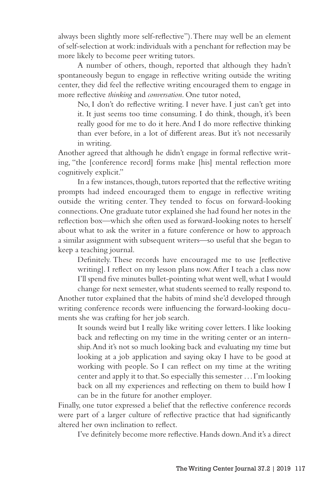always been slightly more self-reflective"). There may well be an element of self-selection at work: individuals with a penchant for reflection may be more likely to become peer writing tutors.

A number of others, though, reported that although they hadn't spontaneously begun to engage in reflective writing outside the writing center, they did feel the reflective writing encouraged them to engage in more reflective *thinking* and *conversation*. One tutor noted,

No, I don't do reflective writing. I never have. I just can't get into it. It just seems too time consuming. I do think, though, it's been really good for me to do it here. And I do more reflective thinking than ever before, in a lot of different areas. But it's not necessarily in writing.

Another agreed that although he didn't engage in formal reflective writing, "the [conference record] forms make [his] mental reflection more cognitively explicit."

In a few instances, though, tutors reported that the reflective writing prompts had indeed encouraged them to engage in reflective writing outside the writing center. They tended to focus on forward-looking connections. One graduate tutor explained she had found her notes in the reflection box—which she often used as forward-looking notes to herself about what to ask the writer in a future conference or how to approach a similar assignment with subsequent writers—so useful that she began to keep a teaching journal.

Definitely. These records have encouraged me to use [reflective writing]. I reflect on my lesson plans now. After I teach a class now I'll spend five minutes bullet-pointing what went well, what I would

change for next semester, what students seemed to really respond to. Another tutor explained that the habits of mind she'd developed through writing conference records were influencing the forward-looking documents she was crafting for her job search.

It sounds weird but I really like writing cover letters. I like looking back and reflecting on my time in the writing center or an internship. And it's not so much looking back and evaluating my time but looking at a job application and saying okay I have to be good at working with people. So I can reflect on my time at the writing center and apply it to that. So especially this semester . . . I'm looking back on all my experiences and reflecting on them to build how I can be in the future for another employer.

Finally, one tutor expressed a belief that the reflective conference records were part of a larger culture of reflective practice that had significantly altered her own inclination to reflect.

I've definitely become more reflective. Hands down. And it's a direct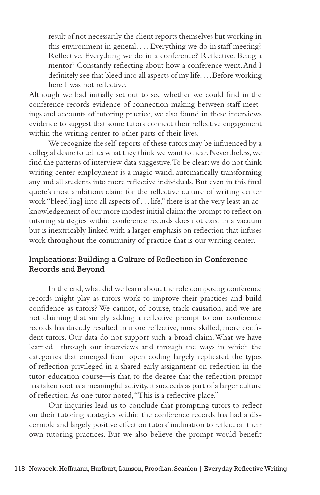result of not necessarily the client reports themselves but working in this environment in general. . . . Everything we do in staff meeting? Reflective. Everything we do in a conference? Reflective. Being a mentor? Constantly reflecting about how a conference went. And I definitely see that bleed into all aspects of my life. . . . Before working here I was not reflective.

Although we had initially set out to see whether we could find in the conference records evidence of connection making between staff meetings and accounts of tutoring practice, we also found in these interviews evidence to suggest that some tutors connect their reflective engagement within the writing center to other parts of their lives.

We recognize the self-reports of these tutors may be influenced by a collegial desire to tell us what they think we want to hear. Nevertheless, we find the patterns of interview data suggestive. To be clear: we do not think writing center employment is a magic wand, automatically transforming any and all students into more reflective individuals. But even in this final quote's most ambitious claim for the reflective culture of writing center work "bleed[ing] into all aspects of . . . life," there is at the very least an acknowledgement of our more modest initial claim: the prompt to reflect on tutoring strategies within conference records does not exist in a vacuum but is inextricably linked with a larger emphasis on reflection that infuses work throughout the community of practice that is our writing center.

## Implications: Building a Culture of Reflection in Conference Records and Beyond

In the end, what did we learn about the role composing conference records might play as tutors work to improve their practices and build confidence as tutors? We cannot, of course, track causation, and we are not claiming that simply adding a reflective prompt to our conference records has directly resulted in more reflective, more skilled, more confident tutors. Our data do not support such a broad claim. What we have learned—through our interviews and through the ways in which the categories that emerged from open coding largely replicated the types of reflection privileged in a shared early assignment on reflection in the tutor-education course—is that, to the degree that the reflection prompt has taken root as a meaningful activity, it succeeds as part of a larger culture of reflection. As one tutor noted, "This is a reflective place."

Our inquiries lead us to conclude that prompting tutors to reflect on their tutoring strategies within the conference records has had a discernible and largely positive effect on tutors' inclination to reflect on their own tutoring practices. But we also believe the prompt would benefit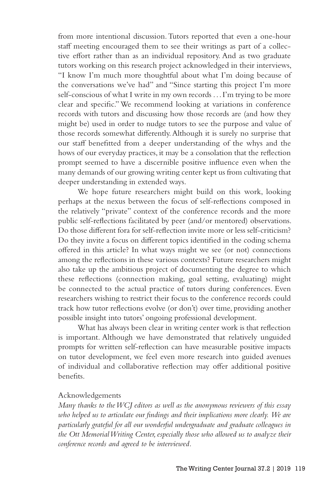from more intentional discussion. Tutors reported that even a one-hour staff meeting encouraged them to see their writings as part of a collective effort rather than as an individual repository. And as two graduate tutors working on this research project acknowledged in their interviews, "I know I'm much more thoughtful about what I'm doing because of the conversations we've had" and "Since starting this project I'm more self-conscious of what I write in my own records . . . I'm trying to be more clear and specific." We recommend looking at variations in conference records with tutors and discussing how those records are (and how they might be) used in order to nudge tutors to see the purpose and value of those records somewhat differently. Although it is surely no surprise that our staff benefitted from a deeper understanding of the whys and the hows of our everyday practices, it may be a consolation that the reflection prompt seemed to have a discernible positive influence even when the many demands of our growing writing center kept us from cultivating that deeper understanding in extended ways.

We hope future researchers might build on this work, looking perhaps at the nexus between the focus of self-reflections composed in the relatively "private" context of the conference records and the more public self-reflections facilitated by peer (and/or mentored) observations. Do those different fora for self-reflection invite more or less self-criticism? Do they invite a focus on different topics identified in the coding schema offered in this article? In what ways might we see (or not) connections among the reflections in these various contexts? Future researchers might also take up the ambitious project of documenting the degree to which these reflections (connection making, goal setting, evaluating) might be connected to the actual practice of tutors during conferences. Even researchers wishing to restrict their focus to the conference records could track how tutor reflections evolve (or don't) over time, providing another possible insight into tutors' ongoing professional development.

What has always been clear in writing center work is that reflection is important. Although we have demonstrated that relatively unguided prompts for written self-reflection can have measurable positive impacts on tutor development, we feel even more research into guided avenues of individual and collaborative reflection may offer additional positive benefits.

#### Acknowledgements

*Many thanks to the WCJ editors as well as the anonymous reviewers of this essay*  who helped us to articulate our findings and their implications more clearly. We are *particularly grateful for all our wonderful undergraduate and graduate colleagues in the Ott Memorial Writing Center, especially those who allowed us to analyze their conference records and agreed to be interviewed.*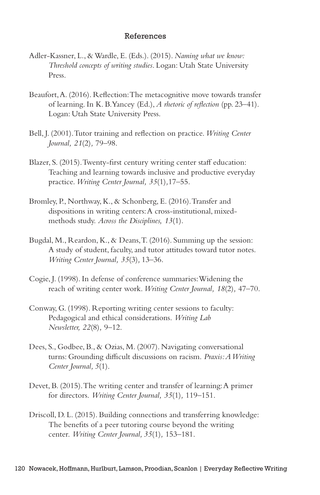#### References

- Adler-Kassner, L., & Wardle, E. (Eds.). (2015). *Naming what we know: Threshold concepts of writing studies*. Logan: Utah State University Press.
- Beaufort, A. (2016). Reflection: The metacognitive move towards transfer of learning. In K. B. Yancey (Ed.), *A rhetoric of reflection* (pp. 23–41). Logan: Utah State University Press.
- Bell, J. (2001). Tutor training and reflection on practice. *Writing Center Journal, 21*(2)*,* 79–98.
- Blazer, S. (2015). Twenty-first century writing center staff education: Teaching and learning towards inclusive and productive everyday practice. *Writing Center Journal, 35*(1)*,*17–55.
- Bromley, P., Northway, K., & Schonberg, E. (2016). Transfer and dispositions in writing centers: A cross-institutional, mixedmethods study. *Across the Disciplines, 13*(1).
- Bugdal, M., Reardon, K., & Deans, T. (2016). Summing up the session: A study of student, faculty, and tutor attitudes toward tutor notes. *Writing Center Journal, 35*(3)*,* 13–36.
- Cogie, J. (1998). In defense of conference summaries: Widening the reach of writing center work. *Writing Center Journal, 18*(2)*,* 47–70.
- Conway, G. (1998). Reporting writing center sessions to faculty: Pedagogical and ethical considerations. *Writing Lab Newsletter, 22*(8)*,* 9–12.
- Dees, S., Godbee, B., & Ozias, M. (2007). Navigating conversational turns: Grounding difficult discussions on racism. *Praxis: A Writing Center Journal, 5*(1).
- Devet, B. (2015). The writing center and transfer of learning: A primer for directors. *Writing Center Journal, 35*(1)*,* 119–151.
- Driscoll, D. L. (2015). Building connections and transferring knowledge: The benefits of a peer tutoring course beyond the writing center. *Writing Center Journal, 35*(1)*,* 153–181.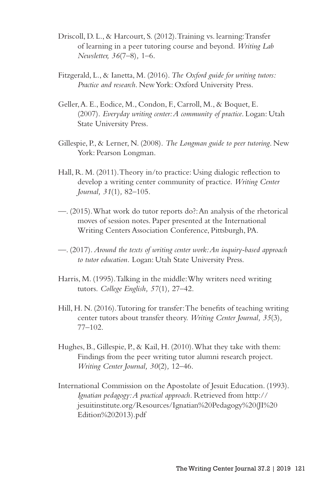- Driscoll, D. L., & Harcourt, S. (2012). Training vs. learning: Transfer of learning in a peer tutoring course and beyond. *Writing Lab Newsletter, 36*(7–8)*,* 1–6.
- Fitzgerald, L., & Ianetta, M. (2016). *The Oxford guide for writing tutors: Practice and research*. New York: Oxford University Press.
- Geller, A. E., Eodice, M., Condon, F., Carroll, M., & Boquet, E. (2007). *Everyday writing center: A community of practice*. Logan: Utah State University Press.
- Gillespie, P., & Lerner, N. (2008). *The Longman guide to peer tutoring*. New York: Pearson Longman.
- Hall, R. M. (2011). Theory in/to practice: Using dialogic reflection to develop a writing center community of practice. *Writing Center Journal, 31*(1)*,* 82–105.
- —. (2015). What work do tutor reports do?: An analysis of the rhetorical moves of session notes. Paper presented at the International Writing Centers Association Conference, Pittsburgh, PA.
- —. (2017). *Around the texts of writing center work: An inquiry-based approach to tutor education.* Logan: Utah State University Press.
- Harris, M. (1995). Talking in the middle: Why writers need writing tutors. *College English, 57*(1)*,* 27–42.
- Hill, H. N. (2016). Tutoring for transfer: The benefits of teaching writing center tutors about transfer theory. *Writing Center Journal, 35*(3)*,* 77–102.
- Hughes, B., Gillespie, P., & Kail, H. (2010). What they take with them: Findings from the peer writing tutor alumni research project. *Writing Center Journal, 30*(2)*,* 12–46.
- International Commission on the Apostolate of Jesuit Education. (1993). *Ignatian pedagogy: A practical approach.* Retrieved from http:// jesuitinstitute.org/Resources/Ignatian%20Pedagogy%20(JI%20 Edition%202013).pdf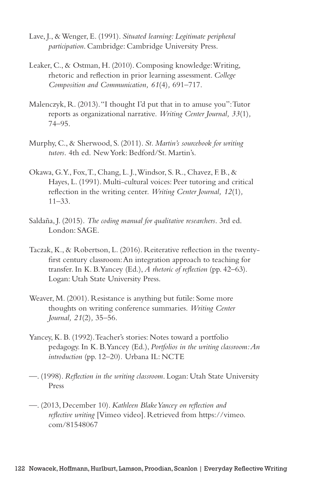- Lave, J., & Wenger, E. (1991). *Situated learning: Legitimate peripheral participation*. Cambridge: Cambridge University Press.
- Leaker, C., & Ostman, H. (2010). Composing knowledge: Writing, rhetoric and reflection in prior learning assessment. *College Composition and Communication, 61*(4)*,* 691–717.
- Malenczyk, R. (2013). "I thought I'd put that in to amuse you": Tutor reports as organizational narrative. *Writing Center Journal, 33*(1)*,* 74–95.
- Murphy, C., & Sherwood, S. (2011). *St. Martin's sourcebook for writing tutors*. 4th ed. New York: Bedford/St. Martin's.
- Okawa, G. Y., Fox, T., Chang, L. J., Windsor, S. R., Chavez, F. B., & Hayes, L. (1991). Multi-cultural voices: Peer tutoring and critical reflection in the writing center. *Writing Center Journal, 12*(1)*,*  $11 - 33$ .
- Saldaña, J. (2015). *The coding manual for qualitative researchers*. 3rd ed. London: SAGE.
- Taczak, K., & Robertson, L. (2016). Reiterative reflection in the twentyfirst century classroom: An integration approach to teaching for transfer. In K. B. Yancey (Ed.), *A rhetoric of reflection* (pp. 42–63). Logan: Utah State University Press.
- Weaver, M. (2001). Resistance is anything but futile: Some more thoughts on writing conference summaries. *Writing Center Journal, 21*(2)*,* 35–56.
- Yancey, K. B. (1992). Teacher's stories: Notes toward a portfolio pedagogy. In K. B. Yancey (Ed.), *Portfolios in the writing classroom: An introduction* (pp. 12–20)*.* Urbana IL: NCTE
- —. (1998). *Reflection in the writing classroom*. Logan: Utah State University Press
- —. (2013, December 10). *Kathleen Blake Yancey on reflection and reflective writing* [Vimeo video]. Retrieved from https://vimeo. com/81548067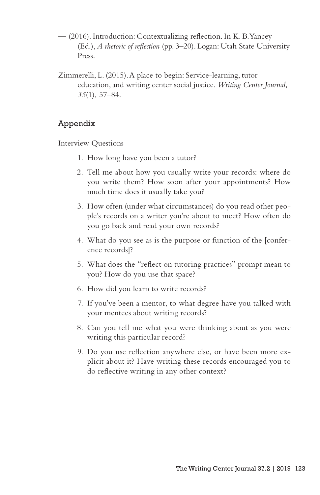- (2016). Introduction: Contextualizing reflection. In K. B. Yancey (Ed.), *A rhetoric of reflection* (pp. 3–20). Logan: Utah State University Press.
- Zimmerelli, L. (2015). A place to begin: Service-learning, tutor education, and writing center social justice. *Writing Center Journal, 35*(1)*,* 57–84.

## Appendix

Interview Questions

- 1. How long have you been a tutor?
- 2. Tell me about how you usually write your records: where do you write them? How soon after your appointments? How much time does it usually take you?
- 3. How often (under what circumstances) do you read other people's records on a writer you're about to meet? How often do you go back and read your own records?
- 4. What do you see as is the purpose or function of the [conference records]?
- 5. What does the "reflect on tutoring practices" prompt mean to you? How do you use that space?
- 6. How did you learn to write records?
- 7. If you've been a mentor, to what degree have you talked with your mentees about writing records?
- 8. Can you tell me what you were thinking about as you were writing this particular record?
- 9. Do you use reflection anywhere else, or have been more explicit about it? Have writing these records encouraged you to do reflective writing in any other context?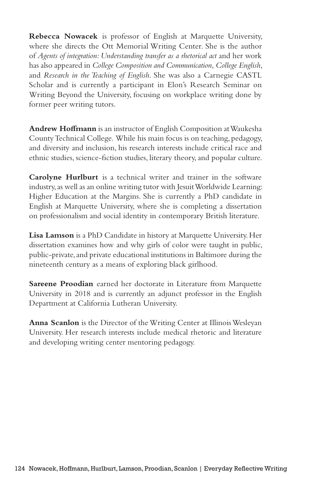**Rebecca Nowacek** is professor of English at Marquette University, where she directs the Ott Memorial Writing Center. She is the author of *Agents of integration: Understanding transfer as a rhetorical act* and her work has also appeared in *College Composition and Communication*, *College English*, and *Research in the Teaching of English*. She was also a Carnegie CASTL Scholar and is currently a participant in Elon's Research Seminar on Writing Beyond the University, focusing on workplace writing done by former peer writing tutors.

**Andrew Hoffmann** is an instructor of English Composition at Waukesha County Technical College. While his main focus is on teaching, pedagogy, and diversity and inclusion, his research interests include critical race and ethnic studies, science-fiction studies, literary theory, and popular culture.

**Carolyne Hurlburt** is a technical writer and trainer in the software industry, as well as an online writing tutor with Jesuit Worldwide Learning: Higher Education at the Margins. She is currently a PhD candidate in English at Marquette University, where she is completing a dissertation on professionalism and social identity in contemporary British literature.

**Lisa Lamson** is a PhD Candidate in history at Marquette University. Her dissertation examines how and why girls of color were taught in public, public-private, and private educational institutions in Baltimore during the nineteenth century as a means of exploring black girlhood.

**Sareene Proodian** earned her doctorate in Literature from Marquette University in 2018 and is currently an adjunct professor in the English Department at California Lutheran University.

**Anna Scanlon** is the Director of the Writing Center at Illinois Wesleyan University. Her research interests include medical rhetoric and literature and developing writing center mentoring pedagogy.